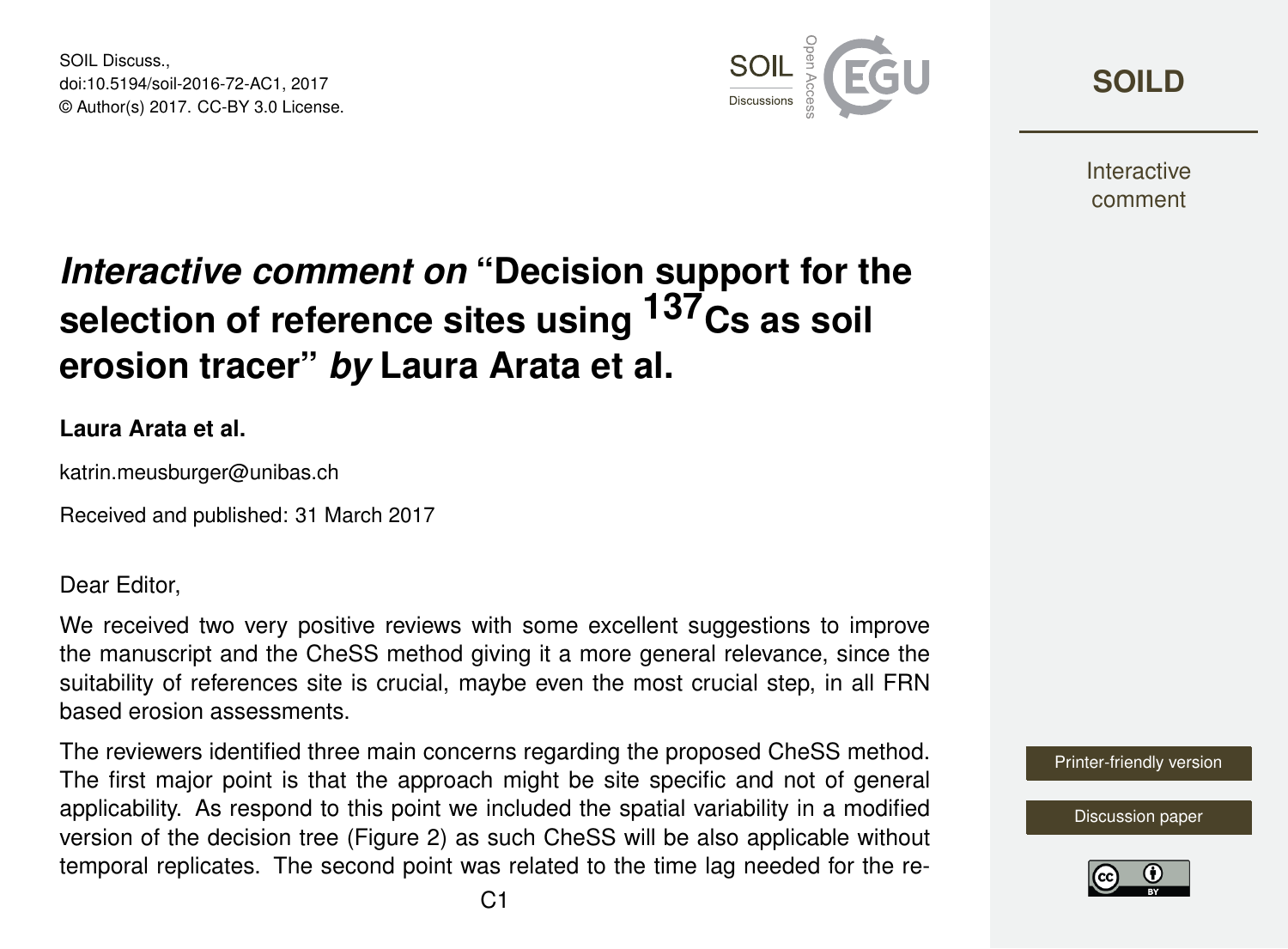SOIL Discuss. doi:10.5194/soil-2016-72-AC1, 2017 © Author(s) 2017. CC-BY 3.0 License.



**[SOILD](http://www.soil-discuss.net/)**

**Interactive** comment

# *Interactive comment on* **"Decision support for the selection of reference sites using 137Cs as soil erosion tracer"** *by* **Laura Arata et al.**

#### **Laura Arata et al.**

katrin.meusburger@unibas.ch

Received and published: 31 March 2017

Dear Editor,

We received two very positive reviews with some excellent suggestions to improve the manuscript and the CheSS method giving it a more general relevance, since the suitability of references site is crucial, maybe even the most crucial step, in all FRN based erosion assessments.

The reviewers identified three main concerns regarding the proposed CheSS method. The first major point is that the approach might be site specific and not of general applicability. As respond to this point we included the spatial variability in a modified version of the decision tree (Figure 2) as such CheSS will be also applicable without temporal replicates. The second point was related to the time lag needed for the re-

[Printer-friendly version](http://www.soil-discuss.net/soil-2016-72/soil-2016-72-AC1-print.pdf)

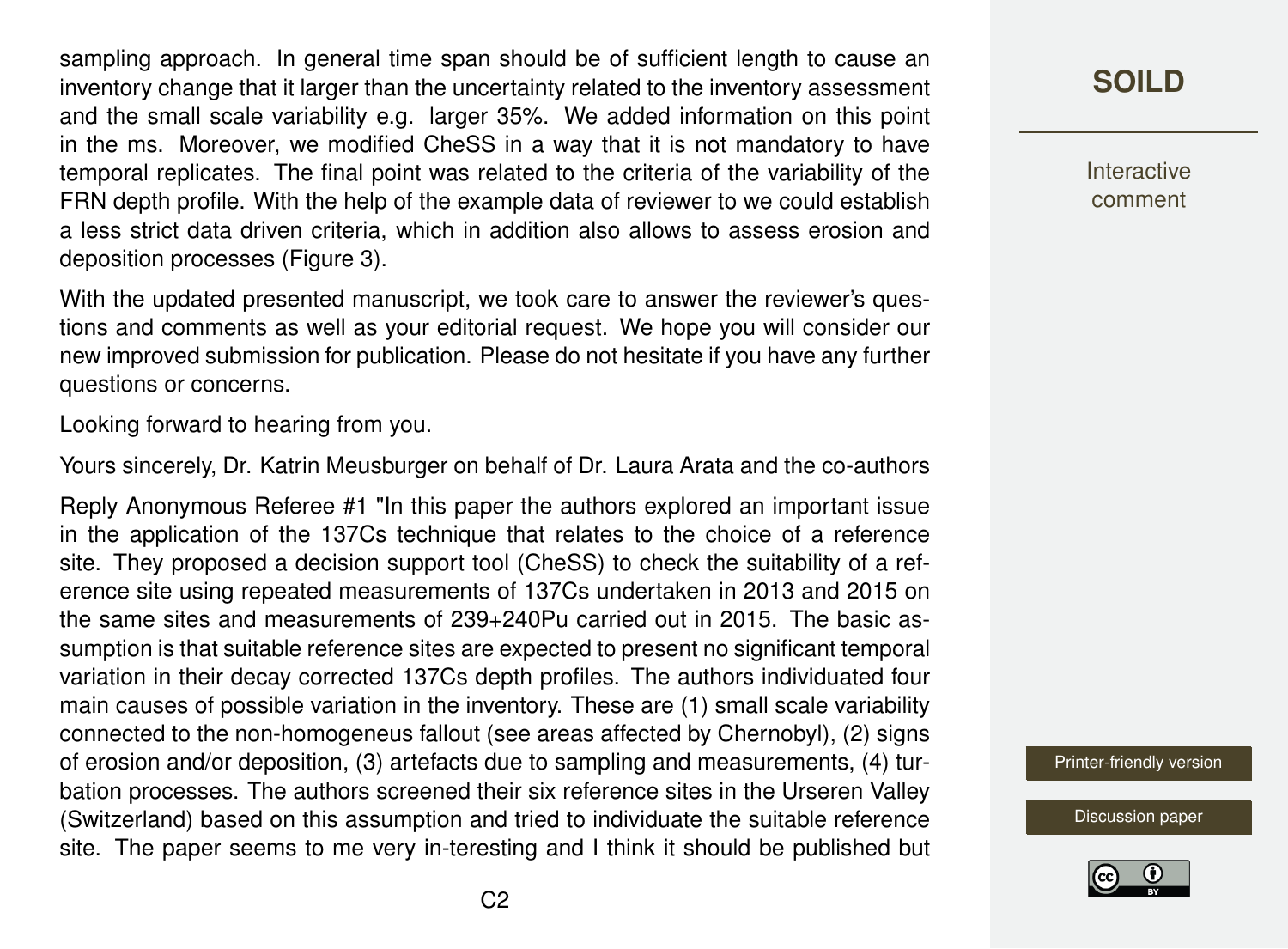sampling approach. In general time span should be of sufficient length to cause an inventory change that it larger than the uncertainty related to the inventory assessment and the small scale variability e.g. larger 35%. We added information on this point in the ms. Moreover, we modified CheSS in a way that it is not mandatory to have temporal replicates. The final point was related to the criteria of the variability of the FRN depth profile. With the help of the example data of reviewer to we could establish a less strict data driven criteria, which in addition also allows to assess erosion and deposition processes (Figure 3).

With the updated presented manuscript, we took care to answer the reviewer's questions and comments as well as your editorial request. We hope you will consider our new improved submission for publication. Please do not hesitate if you have any further questions or concerns.

Looking forward to hearing from you.

Yours sincerely, Dr. Katrin Meusburger on behalf of Dr. Laura Arata and the co-authors

Reply Anonymous Referee #1 "In this paper the authors explored an important issue in the application of the 137Cs technique that relates to the choice of a reference site. They proposed a decision support tool (CheSS) to check the suitability of a reference site using repeated measurements of 137Cs undertaken in 2013 and 2015 on the same sites and measurements of 239+240Pu carried out in 2015. The basic assumption is that suitable reference sites are expected to present no significant temporal variation in their decay corrected 137Cs depth profiles. The authors individuated four main causes of possible variation in the inventory. These are (1) small scale variability connected to the non-homogeneus fallout (see areas affected by Chernobyl), (2) signs of erosion and/or deposition, (3) artefacts due to sampling and measurements, (4) turbation processes. The authors screened their six reference sites in the Urseren Valley (Switzerland) based on this assumption and tried to individuate the suitable reference site. The paper seems to me very in-teresting and I think it should be published but **[SOILD](http://www.soil-discuss.net/)**

**Interactive** comment

[Printer-friendly version](http://www.soil-discuss.net/soil-2016-72/soil-2016-72-AC1-print.pdf)

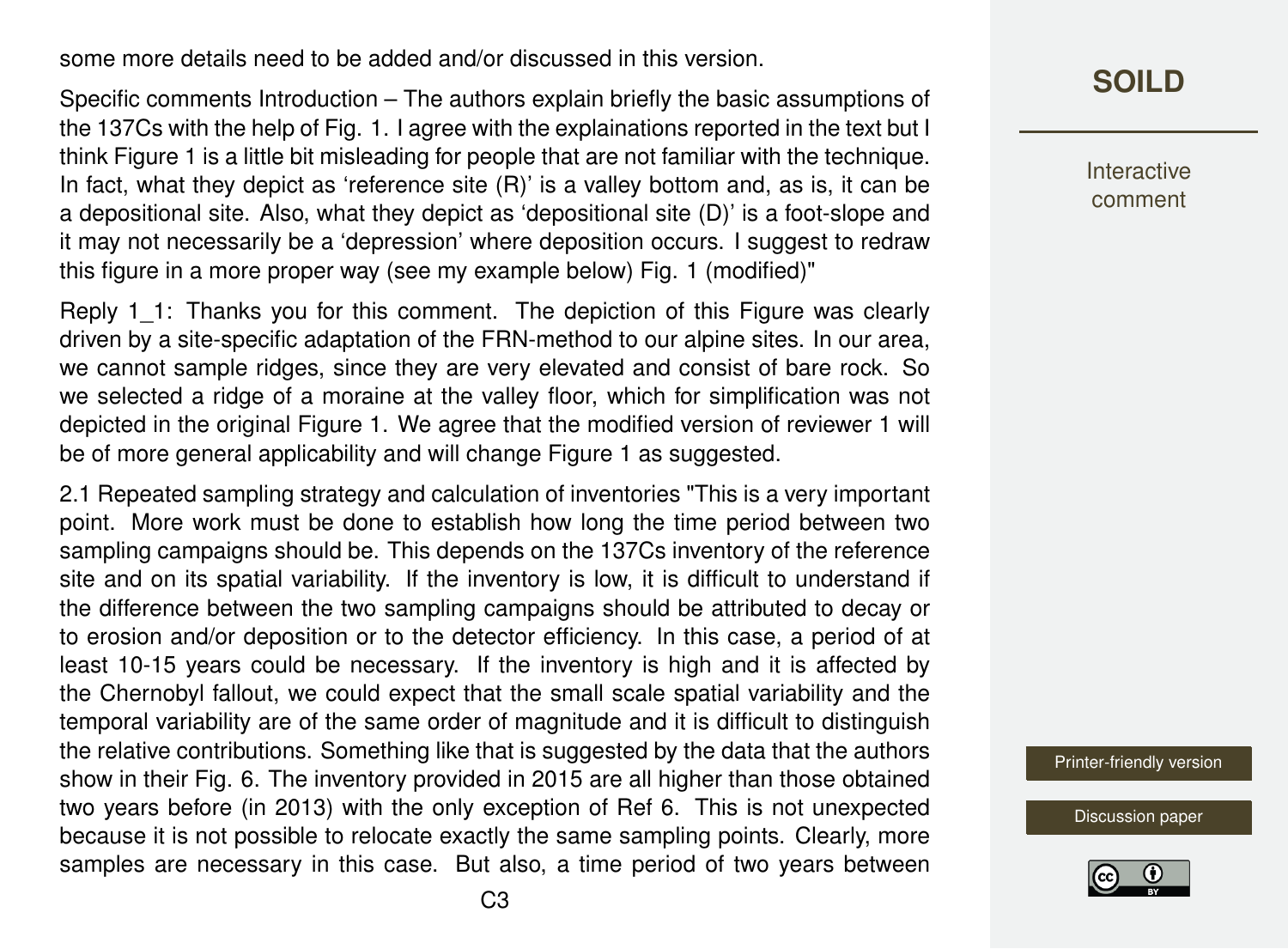some more details need to be added and/or discussed in this version.

Specific comments Introduction – The authors explain briefly the basic assumptions of the 137Cs with the help of Fig. 1. I agree with the explainations reported in the text but I think Figure 1 is a little bit misleading for people that are not familiar with the technique. In fact, what they depict as 'reference site (R)' is a valley bottom and, as is, it can be a depositional site. Also, what they depict as 'depositional site (D)' is a foot-slope and it may not necessarily be a 'depression' where deposition occurs. I suggest to redraw this figure in a more proper way (see my example below) Fig. 1 (modified)"

Reply 1\_1: Thanks you for this comment. The depiction of this Figure was clearly driven by a site-specific adaptation of the FRN-method to our alpine sites. In our area, we cannot sample ridges, since they are very elevated and consist of bare rock. So we selected a ridge of a moraine at the valley floor, which for simplification was not depicted in the original Figure 1. We agree that the modified version of reviewer 1 will be of more general applicability and will change Figure 1 as suggested.

2.1 Repeated sampling strategy and calculation of inventories "This is a very important point. More work must be done to establish how long the time period between two sampling campaigns should be. This depends on the 137Cs inventory of the reference site and on its spatial variability. If the inventory is low, it is difficult to understand if the difference between the two sampling campaigns should be attributed to decay or to erosion and/or deposition or to the detector efficiency. In this case, a period of at least 10-15 years could be necessary. If the inventory is high and it is affected by the Chernobyl fallout, we could expect that the small scale spatial variability and the temporal variability are of the same order of magnitude and it is difficult to distinguish the relative contributions. Something like that is suggested by the data that the authors show in their Fig. 6. The inventory provided in 2015 are all higher than those obtained two years before (in 2013) with the only exception of Ref 6. This is not unexpected because it is not possible to relocate exactly the same sampling points. Clearly, more samples are necessary in this case. But also, a time period of two years between Interactive comment

[Printer-friendly version](http://www.soil-discuss.net/soil-2016-72/soil-2016-72-AC1-print.pdf)

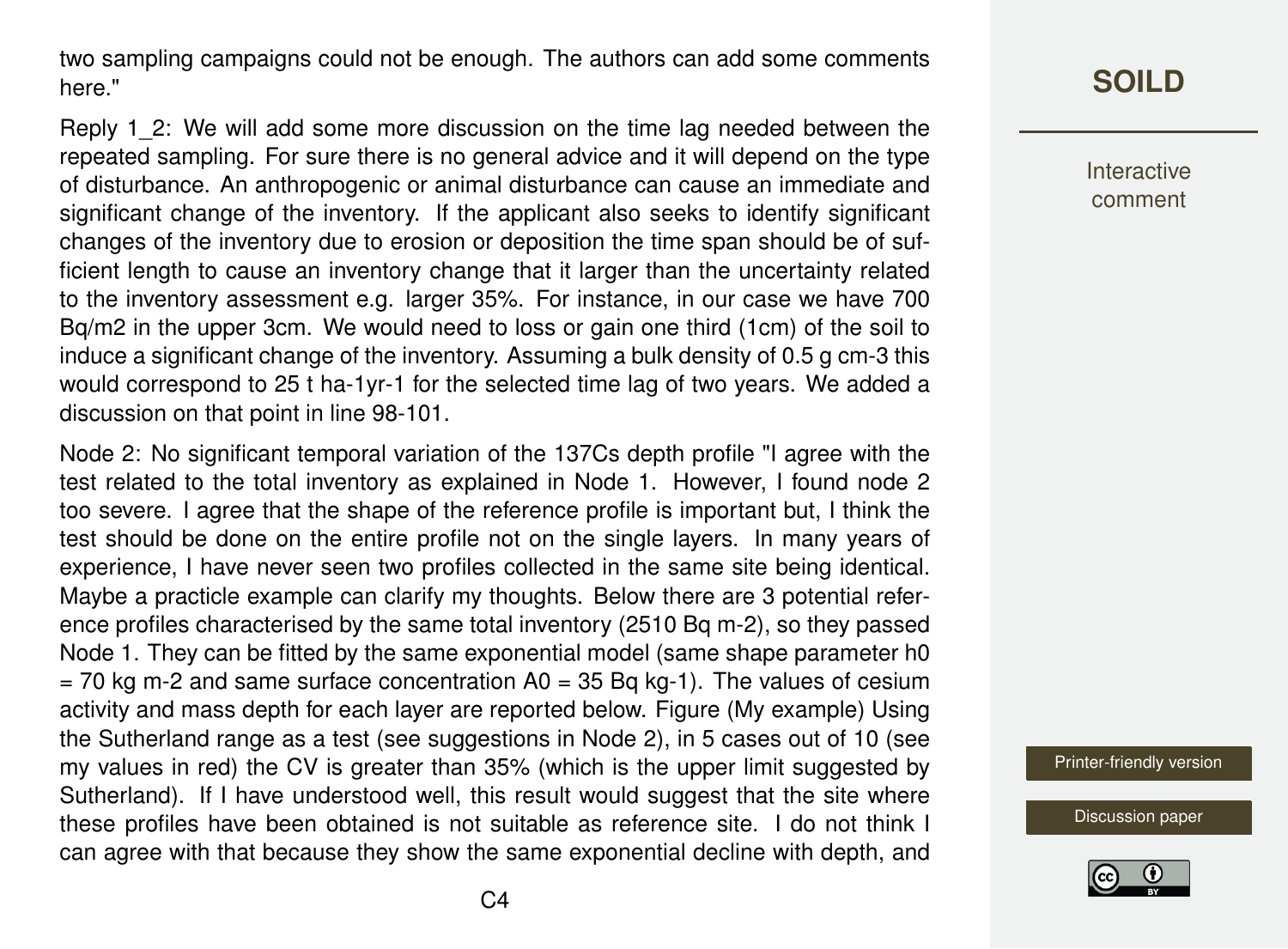two sampling campaigns could not be enough. The authors can add some comments here."

Reply 1\_2: We will add some more discussion on the time lag needed between the repeated sampling. For sure there is no general advice and it will depend on the type of disturbance. An anthropogenic or animal disturbance can cause an immediate and significant change of the inventory. If the applicant also seeks to identify significant changes of the inventory due to erosion or deposition the time span should be of sufficient length to cause an inventory change that it larger than the uncertainty related to the inventory assessment e.g. larger 35%. For instance, in our case we have 700 Bq/m2 in the upper 3cm. We would need to loss or gain one third (1cm) of the soil to induce a significant change of the inventory. Assuming a bulk density of 0.5 g cm-3 this would correspond to 25 t ha-1yr-1 for the selected time lag of two years. We added a discussion on that point in line 98-101.

Node 2: No significant temporal variation of the 137Cs depth profile "I agree with the test related to the total inventory as explained in Node 1. However, I found node 2 too severe. I agree that the shape of the reference profile is important but, I think the test should be done on the entire profile not on the single layers. In many years of experience, I have never seen two profiles collected in the same site being identical. Maybe a practicle example can clarify my thoughts. Below there are 3 potential reference profiles characterised by the same total inventory (2510 Bq m-2), so they passed Node 1. They can be fitted by the same exponential model (same shape parameter h0  $= 70$  kg m-2 and same surface concentration A0  $= 35$  Bg kg-1). The values of cesium activity and mass depth for each layer are reported below. Figure (My example) Using the Sutherland range as a test (see suggestions in Node 2), in 5 cases out of 10 (see my values in red) the CV is greater than 35% (which is the upper limit suggested by Sutherland). If I have understood well, this result would suggest that the site where these profiles have been obtained is not suitable as reference site. I do not think I can agree with that because they show the same exponential decline with depth, and

## **[SOILD](http://www.soil-discuss.net/)**

Interactive comment

[Printer-friendly version](http://www.soil-discuss.net/soil-2016-72/soil-2016-72-AC1-print.pdf)

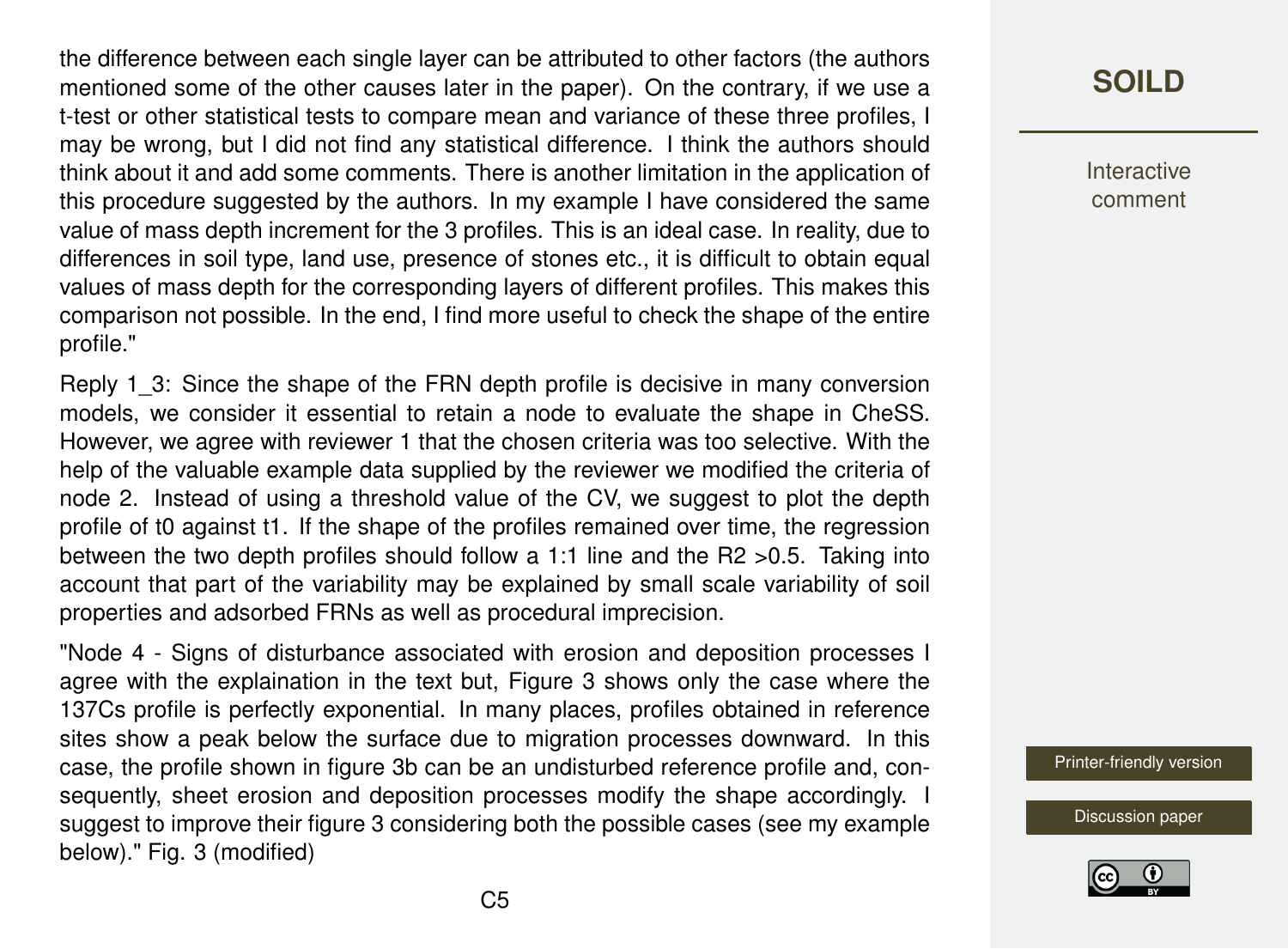the difference between each single layer can be attributed to other factors (the authors mentioned some of the other causes later in the paper). On the contrary, if we use a t-test or other statistical tests to compare mean and variance of these three profiles, I may be wrong, but I did not find any statistical difference. I think the authors should think about it and add some comments. There is another limitation in the application of this procedure suggested by the authors. In my example I have considered the same value of mass depth increment for the 3 profiles. This is an ideal case. In reality, due to differences in soil type, land use, presence of stones etc., it is difficult to obtain equal values of mass depth for the corresponding layers of different profiles. This makes this comparison not possible. In the end, I find more useful to check the shape of the entire profile."

Reply 1\_3: Since the shape of the FRN depth profile is decisive in many conversion models, we consider it essential to retain a node to evaluate the shape in CheSS. However, we agree with reviewer 1 that the chosen criteria was too selective. With the help of the valuable example data supplied by the reviewer we modified the criteria of node 2. Instead of using a threshold value of the CV, we suggest to plot the depth profile of t0 against t1. If the shape of the profiles remained over time, the regression between the two depth profiles should follow a 1:1 line and the R2 >0.5. Taking into account that part of the variability may be explained by small scale variability of soil properties and adsorbed FRNs as well as procedural imprecision.

"Node 4 - Signs of disturbance associated with erosion and deposition processes I agree with the explaination in the text but, Figure 3 shows only the case where the 137Cs profile is perfectly exponential. In many places, profiles obtained in reference sites show a peak below the surface due to migration processes downward. In this case, the profile shown in figure 3b can be an undisturbed reference profile and, consequently, sheet erosion and deposition processes modify the shape accordingly. I suggest to improve their figure 3 considering both the possible cases (see my example below)." Fig. 3 (modified)

**Interactive** comment

[Printer-friendly version](http://www.soil-discuss.net/soil-2016-72/soil-2016-72-AC1-print.pdf)

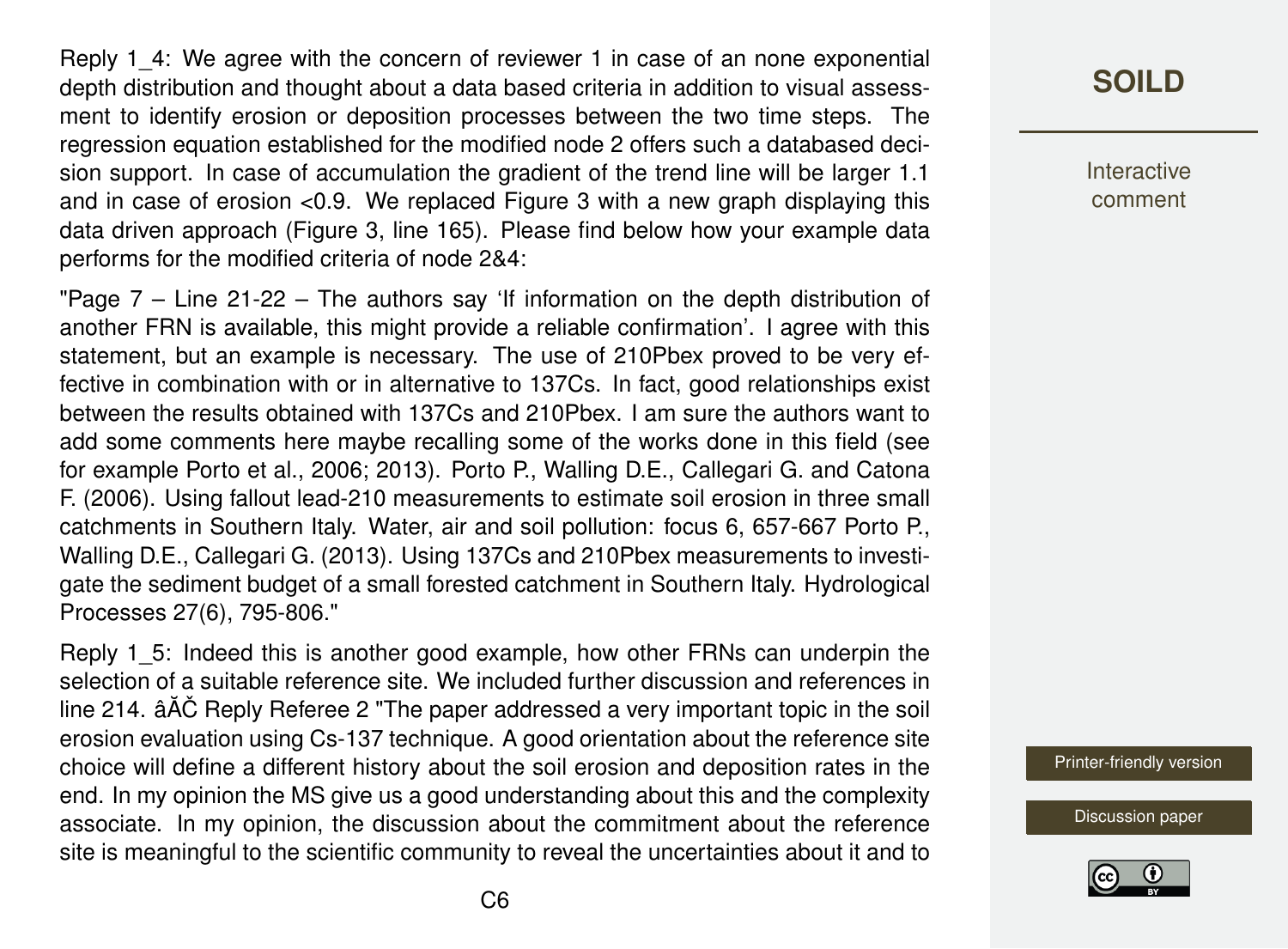Reply 1\_4: We agree with the concern of reviewer 1 in case of an none exponential depth distribution and thought about a data based criteria in addition to visual assessment to identify erosion or deposition processes between the two time steps. The regression equation established for the modified node 2 offers such a databased decision support. In case of accumulation the gradient of the trend line will be larger 1.1 and in case of erosion <0.9. We replaced Figure 3 with a new graph displaying this data driven approach (Figure 3, line 165). Please find below how your example data performs for the modified criteria of node 2&4:

"Page 7 – Line 21-22 – The authors say 'If information on the depth distribution of another FRN is available, this might provide a reliable confirmation'. I agree with this statement, but an example is necessary. The use of 210Pbex proved to be very effective in combination with or in alternative to 137Cs. In fact, good relationships exist between the results obtained with 137Cs and 210Pbex. I am sure the authors want to add some comments here maybe recalling some of the works done in this field (see for example Porto et al., 2006; 2013). Porto P., Walling D.E., Callegari G. and Catona F. (2006). Using fallout lead-210 measurements to estimate soil erosion in three small catchments in Southern Italy. Water, air and soil pollution: focus 6, 657-667 Porto P., Walling D.E., Callegari G. (2013). Using 137Cs and 210Pbex measurements to investigate the sediment budget of a small forested catchment in Southern Italy. Hydrological Processes 27(6), 795-806."

Reply 1\_5: Indeed this is another good example, how other FRNs can underpin the selection of a suitable reference site. We included further discussion and references in line 214. â AC<sup> $\ddot{\rm C}$ </sup> Reply Referee 2 "The paper addressed a very important topic in the soil erosion evaluation using Cs-137 technique. A good orientation about the reference site choice will define a different history about the soil erosion and deposition rates in the end. In my opinion the MS give us a good understanding about this and the complexity associate. In my opinion, the discussion about the commitment about the reference site is meaningful to the scientific community to reveal the uncertainties about it and to **Interactive** comment

[Printer-friendly version](http://www.soil-discuss.net/soil-2016-72/soil-2016-72-AC1-print.pdf)

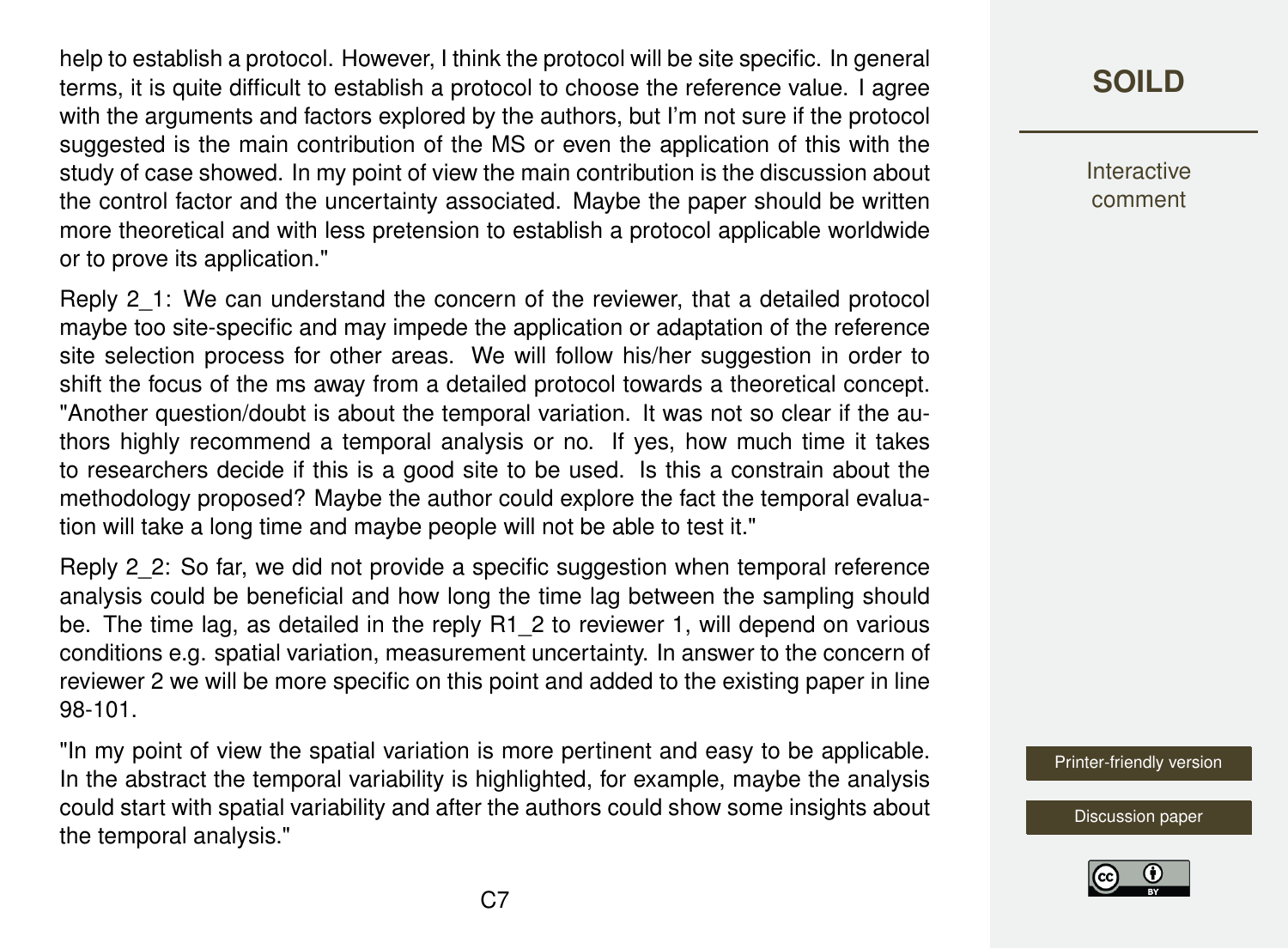help to establish a protocol. However, I think the protocol will be site specific. In general terms, it is quite difficult to establish a protocol to choose the reference value. I agree with the arguments and factors explored by the authors, but I'm not sure if the protocol suggested is the main contribution of the MS or even the application of this with the study of case showed. In my point of view the main contribution is the discussion about the control factor and the uncertainty associated. Maybe the paper should be written more theoretical and with less pretension to establish a protocol applicable worldwide or to prove its application."

Reply 2\_1: We can understand the concern of the reviewer, that a detailed protocol maybe too site-specific and may impede the application or adaptation of the reference site selection process for other areas. We will follow his/her suggestion in order to shift the focus of the ms away from a detailed protocol towards a theoretical concept. "Another question/doubt is about the temporal variation. It was not so clear if the authors highly recommend a temporal analysis or no. If yes, how much time it takes to researchers decide if this is a good site to be used. Is this a constrain about the methodology proposed? Maybe the author could explore the fact the temporal evaluation will take a long time and maybe people will not be able to test it."

Reply 2\_2: So far, we did not provide a specific suggestion when temporal reference analysis could be beneficial and how long the time lag between the sampling should be. The time lag, as detailed in the reply R1\_2 to reviewer 1, will depend on various conditions e.g. spatial variation, measurement uncertainty. In answer to the concern of reviewer 2 we will be more specific on this point and added to the existing paper in line 98-101.

"In my point of view the spatial variation is more pertinent and easy to be applicable. In the abstract the temporal variability is highlighted, for example, maybe the analysis could start with spatial variability and after the authors could show some insights about the temporal analysis."

## **[SOILD](http://www.soil-discuss.net/)**

Interactive comment

[Printer-friendly version](http://www.soil-discuss.net/soil-2016-72/soil-2016-72-AC1-print.pdf)

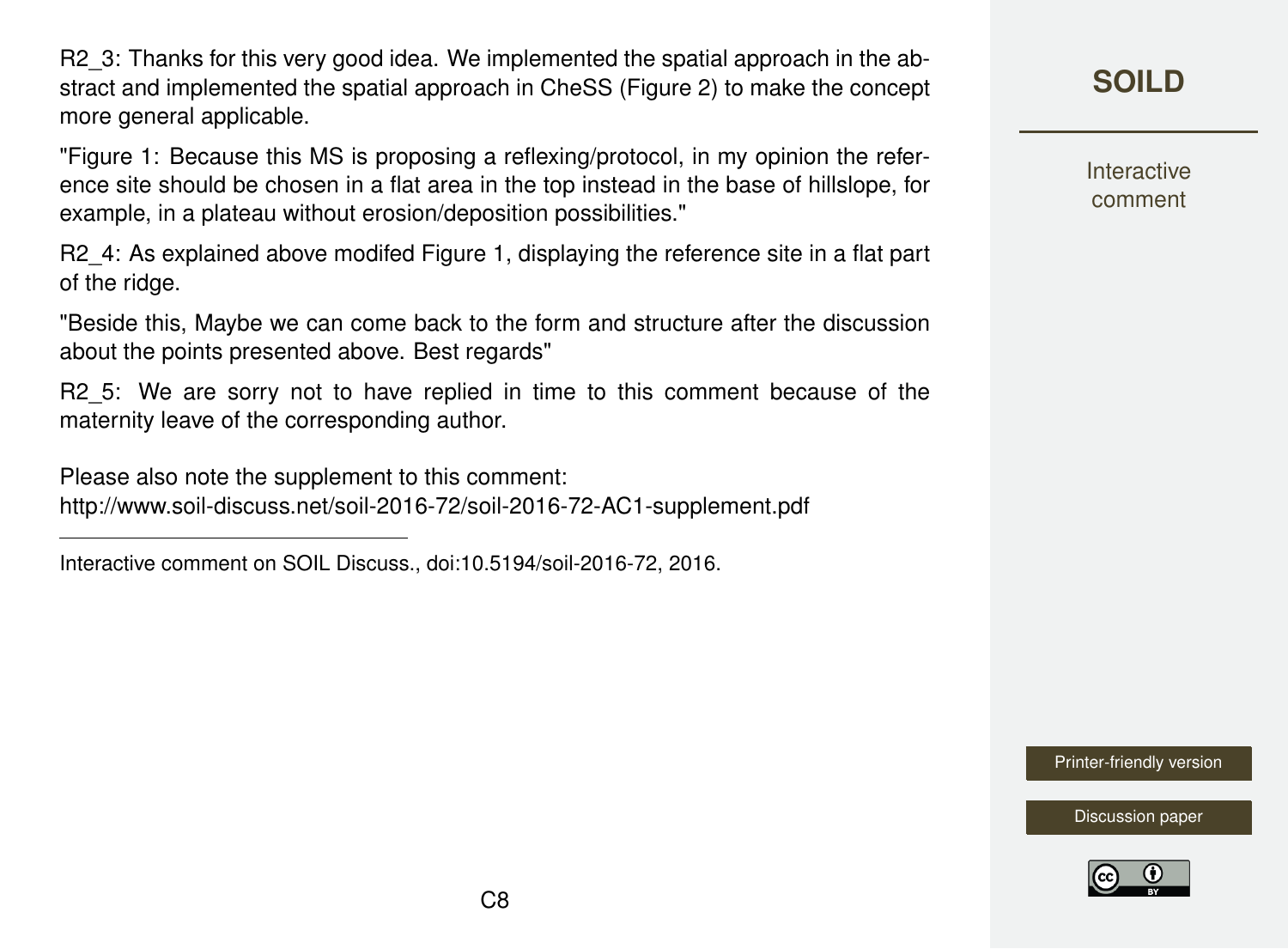R2 3: Thanks for this very good idea. We implemented the spatial approach in the abstract and implemented the spatial approach in CheSS (Figure 2) to make the concept more general applicable.

"Figure 1: Because this MS is proposing a reflexing/protocol, in my opinion the reference site should be chosen in a flat area in the top instead in the base of hillslope, for example, in a plateau without erosion/deposition possibilities."

R2 4: As explained above modifed Figure 1, displaying the reference site in a flat part of the ridge.

"Beside this, Maybe we can come back to the form and structure after the discussion about the points presented above. Best regards"

R2 5: We are sorry not to have replied in time to this comment because of the maternity leave of the corresponding author.

Please also note the supplement to this comment: <http://www.soil-discuss.net/soil-2016-72/soil-2016-72-AC1-supplement.pdf>

Interactive comment on SOIL Discuss., doi:10.5194/soil-2016-72, 2016.

**[SOILD](http://www.soil-discuss.net/)**

Interactive comment

[Printer-friendly version](http://www.soil-discuss.net/soil-2016-72/soil-2016-72-AC1-print.pdf)